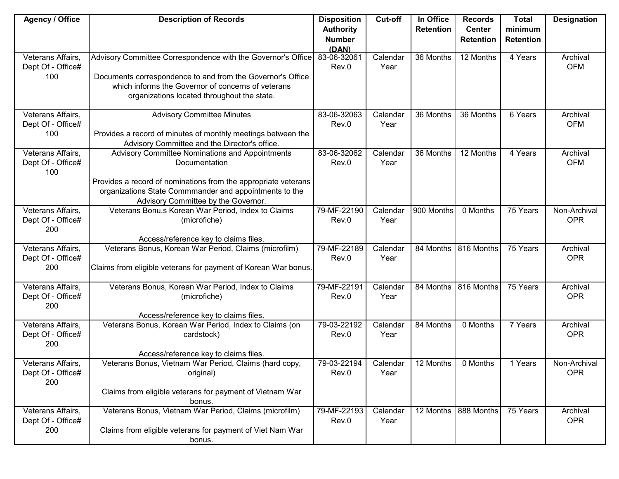| <b>Agency / Office</b>   | <b>Description of Records</b>                                                                                 | <b>Disposition</b>     | <b>Cut-off</b> | In Office        | <b>Records</b>         | <b>Total</b>     | <b>Designation</b> |
|--------------------------|---------------------------------------------------------------------------------------------------------------|------------------------|----------------|------------------|------------------------|------------------|--------------------|
|                          |                                                                                                               | <b>Authority</b>       |                | <b>Retention</b> | <b>Center</b>          | minimum          |                    |
|                          |                                                                                                               | <b>Number</b><br>(DAN) |                |                  | <b>Retention</b>       | <b>Retention</b> |                    |
| Veterans Affairs,        | Advisory Committee Correspondence with the Governor's Office                                                  | 83-06-32061            | Calendar       | 36 Months        | $\overline{12}$ Months | 4 Years          | Archival           |
| Dept Of - Office#        |                                                                                                               | Rev.0                  | Year           |                  |                        |                  | <b>OFM</b>         |
| 100                      | Documents correspondence to and from the Governor's Office                                                    |                        |                |                  |                        |                  |                    |
|                          | which informs the Governor of concerns of veterans                                                            |                        |                |                  |                        |                  |                    |
|                          | organizations located throughout the state.                                                                   |                        |                |                  |                        |                  |                    |
| Veterans Affairs,        | <b>Advisory Committee Minutes</b>                                                                             | 83-06-32063            | Calendar       | 36 Months        | 36 Months              | 6 Years          | Archival           |
| Dept Of - Office#        |                                                                                                               | Rev.0                  | Year           |                  |                        |                  | <b>OFM</b>         |
| 100                      | Provides a record of minutes of monthly meetings between the<br>Advisory Committee and the Director's office. |                        |                |                  |                        |                  |                    |
| Veterans Affairs,        | Advisory Committee Nominations and Appointments                                                               | 83-06-32062            | Calendar       | 36 Months        | 12 Months              | 4 Years          | Archival           |
| Dept Of - Office#<br>100 | Documentation                                                                                                 | Rev.0                  | Year           |                  |                        |                  | <b>OFM</b>         |
|                          | Provides a record of nominations from the appropriate veterans                                                |                        |                |                  |                        |                  |                    |
|                          | organizations State Commmander and appointments to the                                                        |                        |                |                  |                        |                  |                    |
| Veterans Affairs,        | Advisory Committee by the Governor.<br>Veterans Bonu,s Korean War Period, Index to Claims                     | 79-MF-22190            | Calendar       | 900 Months       | 0 Months               | 75 Years         | Non-Archival       |
| Dept Of - Office#        | (microfiche)                                                                                                  | Rev.0                  | Year           |                  |                        |                  | <b>OPR</b>         |
| 200                      |                                                                                                               |                        |                |                  |                        |                  |                    |
|                          | Access/reference key to claims files.                                                                         |                        |                |                  |                        |                  |                    |
| Veterans Affairs,        | Veterans Bonus, Korean War Period, Claims (microfilm)                                                         | 79-MF-22189            | Calendar       | 84 Months        | 816 Months             | 75 Years         | Archival           |
| Dept Of - Office#<br>200 | Claims from eligible veterans for payment of Korean War bonus.                                                | Rev.0                  | Year           |                  |                        |                  | <b>OPR</b>         |
|                          |                                                                                                               |                        |                |                  |                        |                  |                    |
| Veterans Affairs,        | Veterans Bonus, Korean War Period, Index to Claims                                                            | 79-MF-22191            | Calendar       | 84 Months        | 816 Months             | 75 Years         | Archival           |
| Dept Of - Office#        | (microfiche)                                                                                                  | Rev.0                  | Year           |                  |                        |                  | <b>OPR</b>         |
| 200                      |                                                                                                               |                        |                |                  |                        |                  |                    |
| Veterans Affairs,        | Access/reference key to claims files.<br>Veterans Bonus, Korean War Period, Index to Claims (on               | 79-03-22192            | Calendar       | 84 Months        | 0 Months               | 7 Years          | Archival           |
| Dept Of - Office#        | cardstock)                                                                                                    | Rev.0                  | Year           |                  |                        |                  | <b>OPR</b>         |
| 200                      |                                                                                                               |                        |                |                  |                        |                  |                    |
|                          | Access/reference key to claims files.                                                                         |                        |                |                  |                        |                  |                    |
| Veterans Affairs,        | Veterans Bonus, Vietnam War Period, Claims (hard copy,                                                        | 79-03-22194            | Calendar       | 12 Months        | 0 Months               | 1 Years          | Non-Archival       |
| Dept Of - Office#<br>200 | original)                                                                                                     | Rev.0                  | Year           |                  |                        |                  | <b>OPR</b>         |
|                          | Claims from eligible veterans for payment of Vietnam War                                                      |                        |                |                  |                        |                  |                    |
|                          | bonus.                                                                                                        |                        |                |                  |                        |                  |                    |
| Veterans Affairs,        | Veterans Bonus, Vietnam War Period, Claims (microfilm)                                                        | 79-MF-22193            | Calendar       | 12 Months        | 888 Months             | 75 Years         | Archival           |
| Dept Of - Office#        |                                                                                                               | Rev.0                  | Year           |                  |                        |                  | <b>OPR</b>         |
| 200                      | Claims from eligible veterans for payment of Viet Nam War                                                     |                        |                |                  |                        |                  |                    |
|                          | bonus.                                                                                                        |                        |                |                  |                        |                  |                    |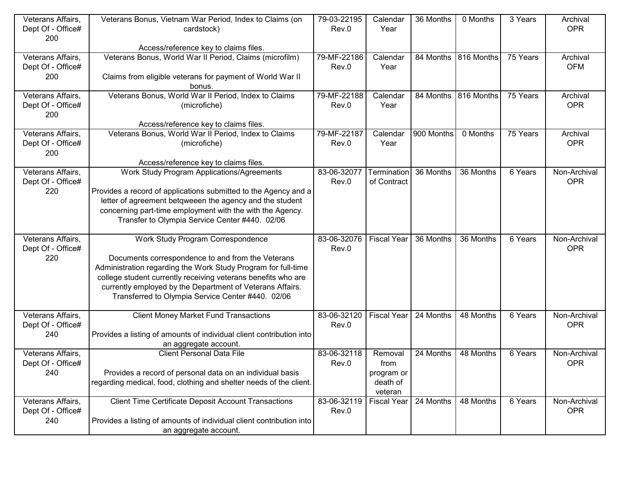| Veterans Affairs, | Veterans Bonus, Vietnam War Period, Index to Claims (on              | 79-03-22195 | Calendar           | 36 Months  | 0 Months             | 3 Years   | Archival     |
|-------------------|----------------------------------------------------------------------|-------------|--------------------|------------|----------------------|-----------|--------------|
| Dept Of - Office# | cardstock)                                                           | Rev.0       | Year               |            |                      |           | <b>OPR</b>   |
| 200               |                                                                      |             |                    |            |                      |           |              |
|                   | Access/reference key to claims files.                                |             |                    |            |                      |           |              |
| Veterans Affairs, | Veterans Bonus, World War II Period, Claims (microfilm)              | 79-MF-22186 | Calendar           |            | 84 Months 816 Months | 75 Years  | Archival     |
| Dept Of - Office# |                                                                      | Rev.0       | Year               |            |                      |           | <b>OFM</b>   |
| 200               | Claims from eligible veterans for payment of World War II            |             |                    |            |                      |           |              |
|                   | bonus.                                                               |             |                    |            |                      |           |              |
| Veterans Affairs, | Veterans Bonus, World War II Period, Index to Claims                 | 79-MF-22188 | Calendar           | 84 Months  | 816 Months           | 75 Years  | Archival     |
| Dept Of - Office# | (microfiche)                                                         | Rev.0       | Year               |            |                      |           | <b>OPR</b>   |
| 200               |                                                                      |             |                    |            |                      |           |              |
|                   | Access/reference key to claims files.                                |             |                    |            |                      |           |              |
| Veterans Affairs, | Veterans Bonus, World War II Period, Index to Claims                 | 79-MF-22187 | Calendar           | 900 Months | 0 Months             | 75 Years  | Archival     |
| Dept Of - Office# | (microfiche)                                                         | Rev.0       | Year               |            |                      |           | <b>OPR</b>   |
| 200               |                                                                      |             |                    |            |                      |           |              |
|                   | Access/reference key to claims files.                                |             |                    |            |                      |           |              |
| Veterans Affairs, | <b>Work Study Program Applications/Agreements</b>                    | 83-06-32077 | Termination        | 36 Months  | 36 Months            | $6$ Years | Non-Archival |
| Dept Of - Office# |                                                                      | Rev.0       | of Contract        |            |                      |           | <b>OPR</b>   |
| 220               | Provides a record of applications submitted to the Agency and a      |             |                    |            |                      |           |              |
|                   | letter of agreement betqweeen the agency and the student             |             |                    |            |                      |           |              |
|                   | concerning part-time employment with the with the Agency.            |             |                    |            |                      |           |              |
|                   | Transfer to Olympia Service Center #440. 02/06                       |             |                    |            |                      |           |              |
|                   |                                                                      |             |                    |            |                      |           |              |
| Veterans Affairs, | Work Study Program Correspondence                                    | 83-06-32076 | <b>Fiscal Year</b> | 36 Months  | 36 Months            | 6 Years   | Non-Archival |
| Dept Of - Office# |                                                                      | Rev.0       |                    |            |                      |           | <b>OPR</b>   |
| 220               | Documents correspondence to and from the Veterans                    |             |                    |            |                      |           |              |
|                   | Administration regarding the Work Study Program for full-time        |             |                    |            |                      |           |              |
|                   | college student currently receiving veterans benefits who are        |             |                    |            |                      |           |              |
|                   | currently employed by the Department of Veterans Affairs.            |             |                    |            |                      |           |              |
|                   | Transferred to Olympia Service Center #440. 02/06                    |             |                    |            |                      |           |              |
|                   |                                                                      |             |                    |            |                      |           |              |
| Veterans Affairs, | <b>Client Money Market Fund Transactions</b>                         | 83-06-32120 | <b>Fiscal Year</b> | 24 Months  | 48 Months            | 6 Years   | Non-Archival |
| Dept Of - Office# |                                                                      | Rev.0       |                    |            |                      |           | <b>OPR</b>   |
| 240               | Provides a listing of amounts of individual client contribution into |             |                    |            |                      |           |              |
|                   | an aggregate account.                                                |             |                    |            |                      |           |              |
| Veterans Affairs, | <b>Client Personal Data File</b>                                     | 83-06-32118 | Removal            | 24 Months  | 48 Months            | 6 Years   | Non-Archival |
| Dept Of - Office# |                                                                      | Rev.0       | from               |            |                      |           | <b>OPR</b>   |
| 240               | Provides a record of personal data on an individual basis            |             | program or         |            |                      |           |              |
|                   | regarding medical, food, clothing and shelter needs of the client.   |             | death of           |            |                      |           |              |
|                   |                                                                      |             | veteran            |            |                      |           |              |
| Veterans Affairs, | <b>Client Time Certificate Deposit Account Transactions</b>          | 83-06-32119 | <b>Fiscal Year</b> | 24 Months  | 48 Months            | 6 Years   | Non-Archival |
| Dept Of - Office# |                                                                      | Rev.0       |                    |            |                      |           | <b>OPR</b>   |
| 240               | Provides a listing of amounts of individual client contribution into |             |                    |            |                      |           |              |
|                   | an aggregate account.                                                |             |                    |            |                      |           |              |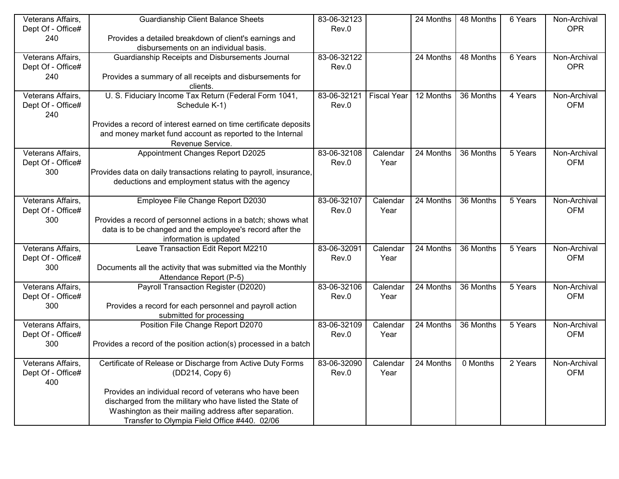| Veterans Affairs,        | <b>Guardianship Client Balance Sheets</b>                                                                               | 83-06-32123 |                    | 24 Months | 48 Months | 6 Years                      | Non-Archival |
|--------------------------|-------------------------------------------------------------------------------------------------------------------------|-------------|--------------------|-----------|-----------|------------------------------|--------------|
| Dept Of - Office#        |                                                                                                                         | Rev.0       |                    |           |           |                              | <b>OPR</b>   |
| 240                      | Provides a detailed breakdown of client's earnings and                                                                  |             |                    |           |           |                              |              |
|                          | disbursements on an individual basis.                                                                                   |             |                    |           |           |                              |              |
| Veterans Affairs,        | Guardianship Receipts and Disbursements Journal                                                                         | 83-06-32122 |                    | 24 Months | 48 Months | 6 Years                      | Non-Archival |
| Dept Of - Office#        |                                                                                                                         | Rev.0       |                    |           |           |                              | <b>OPR</b>   |
| 240                      | Provides a summary of all receipts and disbursements for                                                                |             |                    |           |           |                              |              |
|                          | clients.                                                                                                                |             |                    |           |           |                              |              |
| Veterans Affairs,        | U. S. Fiduciary Income Tax Return (Federal Form 1041,                                                                   | 83-06-32121 | <b>Fiscal Year</b> | 12 Months | 36 Months | 4 Years                      | Non-Archival |
| Dept Of - Office#        | Schedule K-1)                                                                                                           | Rev.0       |                    |           |           |                              | <b>OFM</b>   |
| 240                      |                                                                                                                         |             |                    |           |           |                              |              |
|                          | Provides a record of interest earned on time certificate deposits                                                       |             |                    |           |           |                              |              |
|                          | and money market fund account as reported to the Internal                                                               |             |                    |           |           |                              |              |
|                          | Revenue Service.                                                                                                        |             |                    |           |           |                              |              |
| Veterans Affairs,        | Appointment Changes Report D2025                                                                                        | 83-06-32108 | Calendar           | 24 Months | 36 Months | $\overline{5 \text{ Years}}$ | Non-Archival |
| Dept Of - Office#<br>300 |                                                                                                                         | Rev.0       | Year               |           |           |                              | <b>OFM</b>   |
|                          | Provides data on daily transactions relating to payroll, insurance,<br>deductions and employment status with the agency |             |                    |           |           |                              |              |
|                          |                                                                                                                         |             |                    |           |           |                              |              |
| Veterans Affairs,        | Employee File Change Report D2030                                                                                       | 83-06-32107 | Calendar           | 24 Months | 36 Months | 5 Years                      | Non-Archival |
| Dept Of - Office#        |                                                                                                                         | Rev.0       | Year               |           |           |                              | <b>OFM</b>   |
| 300                      | Provides a record of personnel actions in a batch; shows what                                                           |             |                    |           |           |                              |              |
|                          | data is to be changed and the employee's record after the                                                               |             |                    |           |           |                              |              |
|                          | information is updated                                                                                                  |             |                    |           |           |                              |              |
| Veterans Affairs,        | Leave Transaction Edit Report M2210                                                                                     | 83-06-32091 | Calendar           | 24 Months | 36 Months | 5 Years                      | Non-Archival |
| Dept Of - Office#        |                                                                                                                         | Rev.0       | Year               |           |           |                              | <b>OFM</b>   |
| 300                      | Documents all the activity that was submitted via the Monthly                                                           |             |                    |           |           |                              |              |
|                          | Attendance Report (P-5)                                                                                                 |             |                    |           |           |                              |              |
| Veterans Affairs,        | Payroll Transaction Register (D2020)                                                                                    | 83-06-32106 | Calendar           | 24 Months | 36 Months | 5 Years                      | Non-Archival |
| Dept Of - Office#        |                                                                                                                         | Rev.0       | Year               |           |           |                              | <b>OFM</b>   |
| 300                      | Provides a record for each personnel and payroll action                                                                 |             |                    |           |           |                              |              |
|                          | submitted for processing                                                                                                |             |                    |           |           |                              |              |
| Veterans Affairs,        | Position File Change Report D2070                                                                                       | 83-06-32109 | Calendar           | 24 Months | 36 Months | 5 Years                      | Non-Archival |
| Dept Of - Office#        |                                                                                                                         | Rev.0       | Year               |           |           |                              | <b>OFM</b>   |
| 300                      | Provides a record of the position action(s) processed in a batch                                                        |             |                    |           |           |                              |              |
| Veterans Affairs.        | Certificate of Release or Discharge from Active Duty Forms                                                              | 83-06-32090 | Calendar           | 24 Months | 0 Months  | 2 Years                      | Non-Archival |
| Dept Of - Office#        | (DD214, Copy 6)                                                                                                         | Rev.0       | Year               |           |           |                              | <b>OFM</b>   |
| 400                      |                                                                                                                         |             |                    |           |           |                              |              |
|                          | Provides an individual record of veterans who have been                                                                 |             |                    |           |           |                              |              |
|                          | discharged from the military who have listed the State of                                                               |             |                    |           |           |                              |              |
|                          | Washington as their mailing address after separation.                                                                   |             |                    |           |           |                              |              |
|                          | Transfer to Olympia Field Office #440. 02/06                                                                            |             |                    |           |           |                              |              |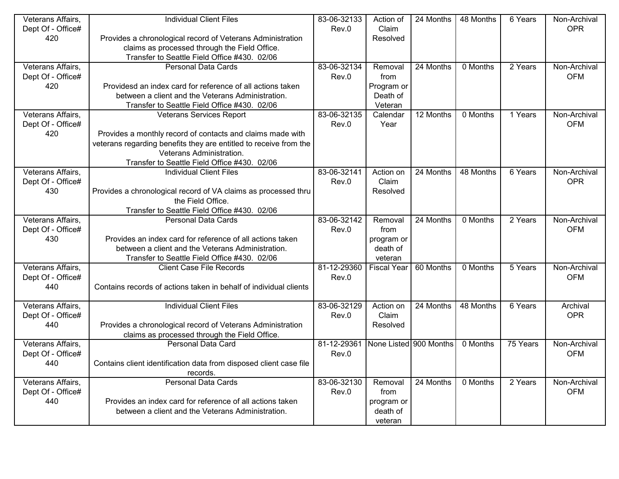| Veterans Affairs, | <b>Individual Client Files</b>                                                      | 83-06-32133 | Action of              | 24 Months              | 48 Months | 6 Years               | Non-Archival |
|-------------------|-------------------------------------------------------------------------------------|-------------|------------------------|------------------------|-----------|-----------------------|--------------|
| Dept Of - Office# |                                                                                     | Rev.0       | Claim                  |                        |           |                       | <b>OPR</b>   |
| 420               | Provides a chronological record of Veterans Administration                          |             | Resolved               |                        |           |                       |              |
|                   | claims as processed through the Field Office.                                       |             |                        |                        |           |                       |              |
|                   | Transfer to Seattle Field Office #430. 02/06                                        |             |                        |                        |           |                       |              |
| Veterans Affairs, | <b>Personal Data Cards</b>                                                          | 83-06-32134 | Removal                | $\overline{24}$ Months | 0 Months  | 2 Years               | Non-Archival |
| Dept Of - Office# |                                                                                     | Rev.0       | from                   |                        |           |                       | <b>OFM</b>   |
| 420               | Providesd an index card for reference of all actions taken                          |             | Program or             |                        |           |                       |              |
|                   | between a client and the Veterans Administration.                                   |             | Death of               |                        |           |                       |              |
|                   | Transfer to Seattle Field Office #430. 02/06                                        |             | Veteran                |                        |           |                       |              |
| Veterans Affairs, | <b>Veterans Services Report</b>                                                     | 83-06-32135 | Calendar               | 12 Months              | 0 Months  | 1 Years               | Non-Archival |
| Dept Of - Office# |                                                                                     | Rev.0       | Year                   |                        |           |                       | <b>OFM</b>   |
| 420               | Provides a monthly record of contacts and claims made with                          |             |                        |                        |           |                       |              |
|                   | veterans regarding benefits they are entitled to receive from the                   |             |                        |                        |           |                       |              |
|                   | Veterans Administration.                                                            |             |                        |                        |           |                       |              |
|                   | Transfer to Seattle Field Office #430. 02/06                                        |             |                        |                        |           |                       |              |
| Veterans Affairs, | <b>Individual Client Files</b>                                                      | 83-06-32141 | Action on              | 24 Months              | 48 Months | $6$ Years             | Non-Archival |
| Dept Of - Office# |                                                                                     | Rev.0       | Claim                  |                        |           |                       | <b>OPR</b>   |
| 430               | Provides a chronological record of VA claims as processed thru<br>the Field Office. |             | Resolved               |                        |           |                       |              |
|                   | Transfer to Seattle Field Office #430. 02/06                                        |             |                        |                        |           |                       |              |
| Veterans Affairs, | <b>Personal Data Cards</b>                                                          | 83-06-32142 | Removal                | 24 Months              | 0 Months  | 2 Years               | Non-Archival |
| Dept Of - Office# |                                                                                     | Rev.0       | from                   |                        |           |                       | <b>OFM</b>   |
| 430               | Provides an index card for reference of all actions taken                           |             | program or             |                        |           |                       |              |
|                   | between a client and the Veterans Administration.                                   |             | death of               |                        |           |                       |              |
|                   | Transfer to Seattle Field Office #430. 02/06                                        |             | veteran                |                        |           |                       |              |
| Veterans Affairs, | <b>Client Case File Records</b>                                                     | 81-12-29360 | <b>Fiscal Year</b>     | 60 Months              | 0 Months  | 5 Years               | Non-Archival |
| Dept Of - Office# |                                                                                     | Rev.0       |                        |                        |           |                       | <b>OFM</b>   |
| 440               | Contains records of actions taken in behalf of individual clients                   |             |                        |                        |           |                       |              |
|                   |                                                                                     |             |                        |                        |           |                       |              |
| Veterans Affairs, | <b>Individual Client Files</b>                                                      | 83-06-32129 | Action on              | 24 Months              | 48 Months | 6 Years               | Archival     |
| Dept Of - Office# |                                                                                     | Rev.0       | Claim                  |                        |           |                       | <b>OPR</b>   |
| 440               | Provides a chronological record of Veterans Administration                          |             | Resolved               |                        |           |                       |              |
|                   | claims as processed through the Field Office.                                       |             |                        |                        |           |                       |              |
| Veterans Affairs, | <b>Personal Data Card</b>                                                           | 81-12-29361 | None Listed 900 Months |                        | 0 Months  | $\overline{75}$ Years | Non-Archival |
| Dept Of - Office# |                                                                                     | Rev.0       |                        |                        |           |                       | <b>OFM</b>   |
| 440               | Contains client identification data from disposed client case file                  |             |                        |                        |           |                       |              |
|                   | records.                                                                            |             |                        |                        |           |                       |              |
| Veterans Affairs, | <b>Personal Data Cards</b>                                                          | 83-06-32130 | Removal                | 24 Months              | 0 Months  | 2 Years               | Non-Archival |
| Dept Of - Office# |                                                                                     | Rev.0       | from                   |                        |           |                       | <b>OFM</b>   |
| 440               | Provides an index card for reference of all actions taken                           |             | program or             |                        |           |                       |              |
|                   | between a client and the Veterans Administration.                                   |             | death of               |                        |           |                       |              |
|                   |                                                                                     |             | veteran                |                        |           |                       |              |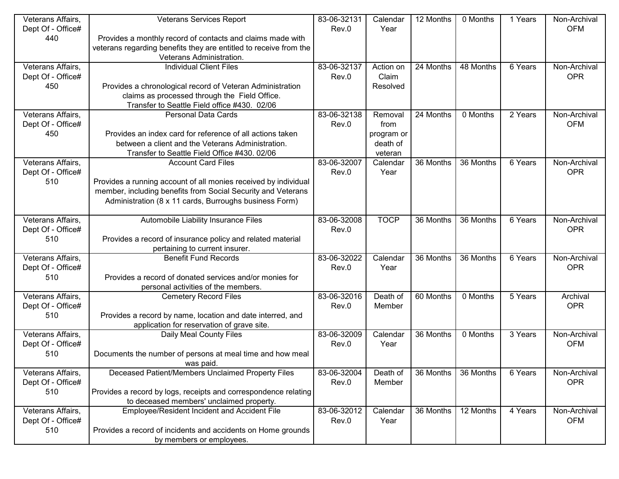| Veterans Affairs, | <b>Veterans Services Report</b>                                   | 83-06-32131 | Calendar    | 12 Months | 0 Months  | 1 Years | Non-Archival |
|-------------------|-------------------------------------------------------------------|-------------|-------------|-----------|-----------|---------|--------------|
| Dept Of - Office# |                                                                   | Rev.0       | Year        |           |           |         | <b>OFM</b>   |
| 440               | Provides a monthly record of contacts and claims made with        |             |             |           |           |         |              |
|                   | veterans regarding benefits they are entitled to receive from the |             |             |           |           |         |              |
|                   | Veterans Administration.                                          |             |             |           |           |         |              |
| Veterans Affairs, | <b>Individual Client Files</b>                                    | 83-06-32137 | Action on   | 24 Months | 48 Months | 6 Years | Non-Archival |
| Dept Of - Office# |                                                                   | Rev.0       | Claim       |           |           |         | <b>OPR</b>   |
| 450               | Provides a chronological record of Veteran Administration         |             | Resolved    |           |           |         |              |
|                   | claims as processed through the Field Office.                     |             |             |           |           |         |              |
|                   | Transfer to Seattle Field office #430. 02/06                      |             |             |           |           |         |              |
| Veterans Affairs, | Personal Data Cards                                               | 83-06-32138 | Removal     | 24 Months | 0 Months  | 2 Years | Non-Archival |
| Dept Of - Office# |                                                                   | Rev.0       | from        |           |           |         | <b>OFM</b>   |
| 450               | Provides an index card for reference of all actions taken         |             | program or  |           |           |         |              |
|                   | between a client and the Veterans Administration.                 |             | death of    |           |           |         |              |
|                   | Transfer to Seattle Field Office #430. 02/06                      |             | veteran     |           |           |         |              |
| Veterans Affairs, | <b>Account Card Files</b>                                         | 83-06-32007 | Calendar    | 36 Months | 36 Months | 6 Years | Non-Archival |
| Dept Of - Office# |                                                                   | Rev.0       | Year        |           |           |         | <b>OPR</b>   |
| 510               | Provides a running account of all monies received by individual   |             |             |           |           |         |              |
|                   | member, including benefits from Social Security and Veterans      |             |             |           |           |         |              |
|                   | Administration (8 x 11 cards, Burroughs business Form)            |             |             |           |           |         |              |
|                   |                                                                   |             |             |           |           |         |              |
| Veterans Affairs, | Automobile Liability Insurance Files                              | 83-06-32008 | <b>TOCP</b> | 36 Months | 36 Months | 6 Years | Non-Archival |
| Dept Of - Office# |                                                                   | Rev.0       |             |           |           |         | <b>OPR</b>   |
| 510               | Provides a record of insurance policy and related material        |             |             |           |           |         |              |
|                   | pertaining to current insurer.                                    |             |             |           |           |         |              |
| Veterans Affairs, | <b>Benefit Fund Records</b>                                       | 83-06-32022 | Calendar    | 36 Months | 36 Months | 6 Years | Non-Archival |
| Dept Of - Office# |                                                                   | Rev.0       | Year        |           |           |         | <b>OPR</b>   |
| 510               | Provides a record of donated services and/or monies for           |             |             |           |           |         |              |
|                   | personal activities of the members.                               |             |             |           |           |         |              |
| Veterans Affairs, | <b>Cemetery Record Files</b>                                      | 83-06-32016 | Death of    | 60 Months | 0 Months  | 5 Years | Archival     |
| Dept Of - Office# |                                                                   | Rev.0       | Member      |           |           |         | <b>OPR</b>   |
| 510               | Provides a record by name, location and date interred, and        |             |             |           |           |         |              |
|                   | application for reservation of grave site.                        |             |             |           |           |         |              |
| Veterans Affairs, | Daily Meal County Files                                           | 83-06-32009 | Calendar    | 36 Months | 0 Months  | 3 Years | Non-Archival |
| Dept Of - Office# |                                                                   | Rev.0       | Year        |           |           |         | <b>OFM</b>   |
| 510               | Documents the number of persons at meal time and how meal         |             |             |           |           |         |              |
|                   | was paid.                                                         |             |             |           |           |         |              |
| Veterans Affairs, | Deceased Patient/Members Unclaimed Property Files                 | 83-06-32004 | Death of    | 36 Months | 36 Months | 6 Years | Non-Archival |
| Dept Of - Office# |                                                                   | Rev.0       | Member      |           |           |         | <b>OPR</b>   |
| 510               | Provides a record by logs, receipts and correspondence relating   |             |             |           |           |         |              |
|                   | to deceased members' unclaimed property.                          |             |             |           |           |         |              |
| Veterans Affairs, | Employee/Resident Incident and Accident File                      | 83-06-32012 | Calendar    | 36 Months | 12 Months | 4 Years | Non-Archival |
| Dept Of - Office# |                                                                   | Rev.0       | Year        |           |           |         | <b>OFM</b>   |
| 510               | Provides a record of incidents and accidents on Home grounds      |             |             |           |           |         |              |
|                   | by members or employees.                                          |             |             |           |           |         |              |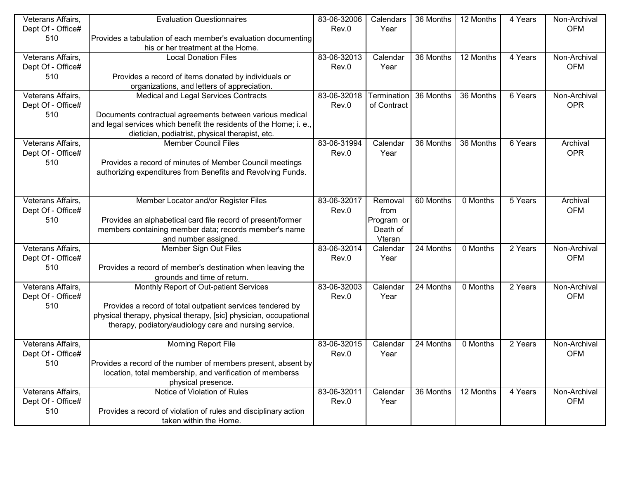| Veterans Affairs, | <b>Evaluation Questionnaires</b>                                   | 83-06-32006 | Calendars   | 36 Months | 12 Months | 4 Years | Non-Archival |
|-------------------|--------------------------------------------------------------------|-------------|-------------|-----------|-----------|---------|--------------|
| Dept Of - Office# |                                                                    | Rev.0       | Year        |           |           |         | <b>OFM</b>   |
| 510               | Provides a tabulation of each member's evaluation documenting      |             |             |           |           |         |              |
|                   | his or her treatment at the Home.                                  |             |             |           |           |         |              |
| Veterans Affairs, | <b>Local Donation Files</b>                                        | 83-06-32013 | Calendar    | 36 Months | 12 Months | 4 Years | Non-Archival |
| Dept Of - Office# |                                                                    | Rev.0       | Year        |           |           |         | <b>OFM</b>   |
| 510               | Provides a record of items donated by individuals or               |             |             |           |           |         |              |
|                   | organizations, and letters of appreciation.                        |             |             |           |           |         |              |
| Veterans Affairs, | Medical and Legal Services Contracts                               | 83-06-32018 | Termination | 36 Months | 36 Months | 6 Years | Non-Archival |
| Dept Of - Office# |                                                                    | Rev.0       | of Contract |           |           |         | <b>OPR</b>   |
| 510               | Documents contractual agreements between various medical           |             |             |           |           |         |              |
|                   | and legal services which benefit the residents of the Home; i. e., |             |             |           |           |         |              |
|                   | dietician, podiatrist, physical therapist, etc.                    |             |             |           |           |         |              |
| Veterans Affairs, | <b>Member Council Files</b>                                        | 83-06-31994 | Calendar    | 36 Months | 36 Months | 6 Years | Archival     |
| Dept Of - Office# |                                                                    | Rev.0       | Year        |           |           |         | <b>OPR</b>   |
| 510               | Provides a record of minutes of Member Council meetings            |             |             |           |           |         |              |
|                   | authorizing expenditures from Benefits and Revolving Funds.        |             |             |           |           |         |              |
|                   |                                                                    |             |             |           |           |         |              |
|                   |                                                                    |             |             |           |           |         |              |
| Veterans Affairs, | Member Locator and/or Register Files                               | 83-06-32017 | Removal     | 60 Months | 0 Months  | 5 Years | Archival     |
| Dept Of - Office# |                                                                    | Rev.0       | from        |           |           |         | <b>OFM</b>   |
| 510               | Provides an alphabetical card file record of present/former        |             | Program or  |           |           |         |              |
|                   | members containing member data; records member's name              |             | Death of    |           |           |         |              |
|                   | and number assigned.                                               |             | Vteran      |           |           |         |              |
| Veterans Affairs, | Member Sign Out Files                                              | 83-06-32014 | Calendar    | 24 Months | 0 Months  | 2 Years | Non-Archival |
| Dept Of - Office# |                                                                    | Rev.0       | Year        |           |           |         | <b>OFM</b>   |
| 510               | Provides a record of member's destination when leaving the         |             |             |           |           |         |              |
|                   | grounds and time of return.                                        |             |             |           |           |         |              |
| Veterans Affairs, | Monthly Report of Out-patient Services                             | 83-06-32003 | Calendar    | 24 Months | 0 Months  | 2 Years | Non-Archival |
| Dept Of - Office# |                                                                    | Rev.0       | Year        |           |           |         | <b>OFM</b>   |
| 510               | Provides a record of total outpatient services tendered by         |             |             |           |           |         |              |
|                   | physical therapy, physical therapy, [sic] physician, occupational  |             |             |           |           |         |              |
|                   | therapy, podiatory/audiology care and nursing service.             |             |             |           |           |         |              |
|                   |                                                                    |             |             |           |           |         |              |
| Veterans Affairs, | Morning Report File                                                | 83-06-32015 | Calendar    | 24 Months | 0 Months  | 2 Years | Non-Archival |
| Dept Of - Office# |                                                                    | Rev.0       | Year        |           |           |         | <b>OFM</b>   |
| 510               | Provides a record of the number of members present, absent by      |             |             |           |           |         |              |
|                   | location, total membership, and verification of memberss           |             |             |           |           |         |              |
|                   | physical presence.                                                 |             |             |           |           |         |              |
| Veterans Affairs, | Notice of Violation of Rules                                       | 83-06-32011 | Calendar    | 36 Months | 12 Months | 4 Years | Non-Archival |
| Dept Of - Office# |                                                                    | Rev.0       | Year        |           |           |         | <b>OFM</b>   |
| 510               | Provides a record of violation of rules and disciplinary action    |             |             |           |           |         |              |
|                   | taken within the Home.                                             |             |             |           |           |         |              |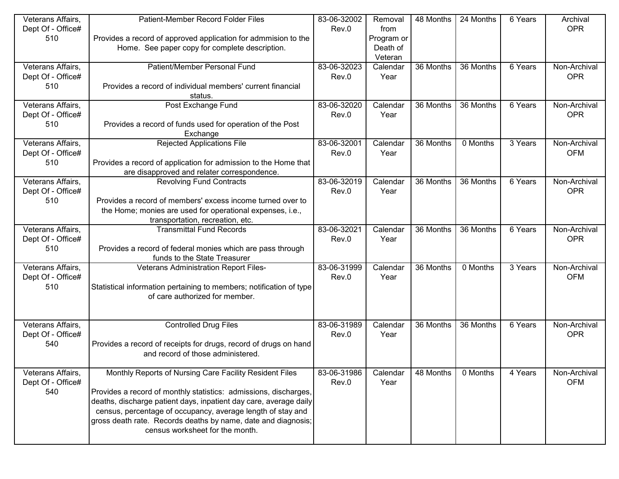| Veterans Affairs, | Patient-Member Record Folder Files                                  | 83-06-32002 | Removal    | 48 Months | 24 Months | 6 Years | Archival     |
|-------------------|---------------------------------------------------------------------|-------------|------------|-----------|-----------|---------|--------------|
| Dept Of - Office# |                                                                     | Rev.0       | from       |           |           |         | <b>OPR</b>   |
| 510               | Provides a record of approved application for admmision to the      |             | Program or |           |           |         |              |
|                   | Home. See paper copy for complete description.                      |             | Death of   |           |           |         |              |
|                   |                                                                     |             | Veteran    |           |           |         |              |
| Veterans Affairs, | Patient/Member Personal Fund                                        | 83-06-32023 | Calendar   | 36 Months | 36 Months | 6 Years | Non-Archival |
| Dept Of - Office# |                                                                     | Rev.0       | Year       |           |           |         | <b>OPR</b>   |
| 510               | Provides a record of individual members' current financial          |             |            |           |           |         |              |
|                   | status.                                                             |             |            |           |           |         |              |
| Veterans Affairs, | Post Exchange Fund                                                  | 83-06-32020 | Calendar   | 36 Months | 36 Months | 6 Years | Non-Archival |
| Dept Of - Office# |                                                                     | Rev.0       | Year       |           |           |         | <b>OPR</b>   |
| 510               | Provides a record of funds used for operation of the Post           |             |            |           |           |         |              |
|                   | Exchange                                                            |             |            |           |           |         |              |
| Veterans Affairs, | <b>Rejected Applications File</b>                                   | 83-06-32001 | Calendar   | 36 Months | 0 Months  | 3 Years | Non-Archival |
| Dept Of - Office# |                                                                     | Rev.0       | Year       |           |           |         | <b>OFM</b>   |
| 510               | Provides a record of application for admission to the Home that     |             |            |           |           |         |              |
|                   | are disapproved and relater correspondence.                         |             |            |           |           |         |              |
| Veterans Affairs, | <b>Revolving Fund Contracts</b>                                     | 83-06-32019 | Calendar   | 36 Months | 36 Months | 6 Years | Non-Archival |
| Dept Of - Office# |                                                                     | Rev.0       | Year       |           |           |         | <b>OPR</b>   |
| 510               | Provides a record of members' excess income turned over to          |             |            |           |           |         |              |
|                   | the Home; monies are used for operational expenses, i.e.,           |             |            |           |           |         |              |
|                   | transportation, recreation, etc.                                    |             |            |           |           |         |              |
| Veterans Affairs, | <b>Transmittal Fund Records</b>                                     | 83-06-32021 | Calendar   | 36 Months | 36 Months | 6 Years | Non-Archival |
| Dept Of - Office# |                                                                     | Rev.0       | Year       |           |           |         | <b>OPR</b>   |
| 510               | Provides a record of federal monies which are pass through          |             |            |           |           |         |              |
|                   | funds to the State Treasurer                                        |             |            |           |           |         |              |
| Veterans Affairs, | Veterans Administration Report Files-                               | 83-06-31999 | Calendar   | 36 Months | 0 Months  | 3 Years | Non-Archival |
| Dept Of - Office# |                                                                     | Rev.0       | Year       |           |           |         | <b>OFM</b>   |
| 510               | Statistical information pertaining to members; notification of type |             |            |           |           |         |              |
|                   | of care authorized for member.                                      |             |            |           |           |         |              |
|                   |                                                                     |             |            |           |           |         |              |
| Veterans Affairs, | <b>Controlled Drug Files</b>                                        | 83-06-31989 | Calendar   | 36 Months | 36 Months | 6 Years | Non-Archival |
| Dept Of - Office# |                                                                     | Rev.0       | Year       |           |           |         | <b>OPR</b>   |
| 540               | Provides a record of receipts for drugs, record of drugs on hand    |             |            |           |           |         |              |
|                   | and record of those administered.                                   |             |            |           |           |         |              |
|                   |                                                                     |             |            |           |           |         |              |
| Veterans Affairs, | Monthly Reports of Nursing Care Facility Resident Files             | 83-06-31986 | Calendar   | 48 Months | 0 Months  | 4 Years | Non-Archival |
| Dept Of - Office# |                                                                     | Rev.0       | Year       |           |           |         | <b>OFM</b>   |
| 540               | Provides a record of monthly statistics: admissions, discharges,    |             |            |           |           |         |              |
|                   | deaths, discharge patient days, inpatient day care, average daily   |             |            |           |           |         |              |
|                   | census, percentage of occupancy, average length of stay and         |             |            |           |           |         |              |
|                   | gross death rate. Records deaths by name, date and diagnosis;       |             |            |           |           |         |              |
|                   | census worksheet for the month.                                     |             |            |           |           |         |              |
|                   |                                                                     |             |            |           |           |         |              |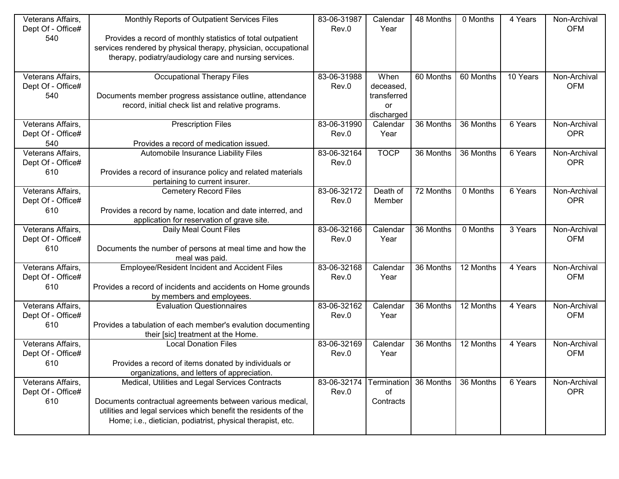| Veterans Affairs,                      | Monthly Reports of Outpatient Services Files                                                                             | 83-06-31987 | Calendar    | 48 Months | 0 Months  | 4 Years  | Non-Archival               |
|----------------------------------------|--------------------------------------------------------------------------------------------------------------------------|-------------|-------------|-----------|-----------|----------|----------------------------|
| Dept Of - Office#                      |                                                                                                                          | Rev.0       | Year        |           |           |          | <b>OFM</b>                 |
| 540                                    | Provides a record of monthly statistics of total outpatient                                                              |             |             |           |           |          |                            |
|                                        | services rendered by physical therapy, physician, occupational<br>therapy, podiatry/audiology care and nursing services. |             |             |           |           |          |                            |
|                                        |                                                                                                                          |             |             |           |           |          |                            |
| Veterans Affairs,                      | <b>Occupational Therapy Files</b>                                                                                        | 83-06-31988 | When        | 60 Months | 60 Months | 10 Years | Non-Archival               |
| Dept Of - Office#                      |                                                                                                                          | Rev.0       | deceased,   |           |           |          | <b>OFM</b>                 |
| 540                                    | Documents member progress assistance outline, attendance                                                                 |             | transferred |           |           |          |                            |
|                                        | record, initial check list and relative programs.                                                                        |             | or          |           |           |          |                            |
|                                        |                                                                                                                          |             | discharged  |           |           |          |                            |
| Veterans Affairs,                      | <b>Prescription Files</b>                                                                                                | 83-06-31990 | Calendar    | 36 Months | 36 Months | 6 Years  | Non-Archival               |
| Dept Of - Office#                      |                                                                                                                          | Rev.0       | Year        |           |           |          | <b>OPR</b>                 |
| 540                                    | Provides a record of medication issued.                                                                                  |             |             |           |           |          |                            |
| Veterans Affairs,                      | Automobile Insurance Liability Files                                                                                     | 83-06-32164 | <b>TOCP</b> | 36 Months | 36 Months | 6 Years  | Non-Archival               |
| Dept Of - Office#                      |                                                                                                                          | Rev.0       |             |           |           |          | <b>OPR</b>                 |
| 610                                    | Provides a record of insurance policy and related materials                                                              |             |             |           |           |          |                            |
|                                        | pertaining to current insurer.                                                                                           | 83-06-32172 | Death of    | 72 Months | 0 Months  | 6 Years  |                            |
| Veterans Affairs,<br>Dept Of - Office# | <b>Cemetery Record Files</b>                                                                                             | Rev.0       | Member      |           |           |          | Non-Archival<br><b>OPR</b> |
| 610                                    | Provides a record by name, location and date interred, and                                                               |             |             |           |           |          |                            |
|                                        | application for reservation of grave site.                                                                               |             |             |           |           |          |                            |
|                                        | Daily Meal Count Files                                                                                                   | 83-06-32166 | Calendar    | 36 Months | 0 Months  | 3 Years  | Non-Archival               |
|                                        |                                                                                                                          |             |             |           |           |          |                            |
| Veterans Affairs,                      |                                                                                                                          |             |             |           |           |          |                            |
| Dept Of - Office#                      |                                                                                                                          | Rev.0       | Year        |           |           |          | <b>OFM</b>                 |
| 610                                    | Documents the number of persons at meal time and how the<br>meal was paid.                                               |             |             |           |           |          |                            |
| Veterans Affairs,                      | Employee/Resident Incident and Accident Files                                                                            | 83-06-32168 | Calendar    | 36 Months | 12 Months | 4 Years  | Non-Archival               |
| Dept Of - Office#                      |                                                                                                                          | Rev.0       | Year        |           |           |          | <b>OFM</b>                 |
| 610                                    | Provides a record of incidents and accidents on Home grounds                                                             |             |             |           |           |          |                            |
|                                        | by members and employees.                                                                                                |             |             |           |           |          |                            |
| Veterans Affairs,                      | <b>Evaluation Questionnaires</b>                                                                                         | 83-06-32162 | Calendar    | 36 Months | 12 Months | 4 Years  | Non-Archival               |
| Dept Of - Office#                      |                                                                                                                          | Rev.0       | Year        |           |           |          | <b>OFM</b>                 |
| 610                                    | Provides a tabulation of each member's evalution documenting                                                             |             |             |           |           |          |                            |
|                                        | their [sic] treatment at the Home.                                                                                       |             |             |           |           |          |                            |
| Veterans Affairs,                      | <b>Local Donation Files</b>                                                                                              | 83-06-32169 | Calendar    | 36 Months | 12 Months | 4 Years  | Non-Archival               |
| Dept Of - Office#                      |                                                                                                                          | Rev.0       | Year        |           |           |          | <b>OFM</b>                 |
| 610                                    | Provides a record of items donated by individuals or                                                                     |             |             |           |           |          |                            |
|                                        | organizations, and letters of appreciation.                                                                              |             |             |           |           |          |                            |
| Veterans Affairs,                      | Medical, Utilities and Legal Services Contracts                                                                          | 83-06-32174 | Termination | 36 Months | 36 Months | 6 Years  | Non-Archival               |
| Dept Of - Office#                      |                                                                                                                          | Rev.0       | of          |           |           |          | <b>OPR</b>                 |
| 610                                    | Documents contractual agreements between various medical,                                                                |             | Contracts   |           |           |          |                            |
|                                        | utilities and legal services which benefit the residents of the                                                          |             |             |           |           |          |                            |
|                                        | Home; i.e., dietician, podiatrist, physical therapist, etc.                                                              |             |             |           |           |          |                            |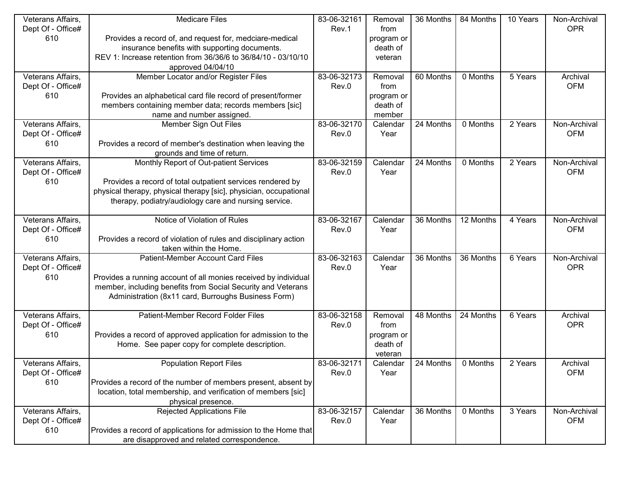| Veterans Affairs,                      | <b>Medicare Files</b>                                                                                                           | 83-06-32161 | Removal    | 36 Months | 84 Months | 10 Years                     | Non-Archival |
|----------------------------------------|---------------------------------------------------------------------------------------------------------------------------------|-------------|------------|-----------|-----------|------------------------------|--------------|
| Dept Of - Office#                      |                                                                                                                                 | Rev.1       | from       |           |           |                              | <b>OPR</b>   |
| 610                                    | Provides a record of, and request for, medciare-medical                                                                         |             | program or |           |           |                              |              |
|                                        | insurance benefits with supporting documents.                                                                                   |             | death of   |           |           |                              |              |
|                                        | REV 1: Increase retention from 36/36/6 to 36/84/10 - 03/10/10                                                                   |             | veteran    |           |           |                              |              |
|                                        | approved 04/04/10                                                                                                               |             |            |           |           |                              |              |
| Veterans Affairs,                      | Member Locator and/or Register Files                                                                                            | 83-06-32173 | Removal    | 60 Months | 0 Months  | 5 Years                      | Archival     |
| Dept Of - Office#                      |                                                                                                                                 | Rev.0       | from       |           |           |                              | <b>OFM</b>   |
| 610                                    | Provides an alphabetical card file record of present/former                                                                     |             | program or |           |           |                              |              |
|                                        | members containing member data; records members [sic]                                                                           |             | death of   |           |           |                              |              |
|                                        | name and number assigned.                                                                                                       |             | member     |           |           |                              |              |
| Veterans Affairs,                      | Member Sign Out Files                                                                                                           | 83-06-32170 | Calendar   | 24 Months | 0 Months  | $\overline{2 \text{ Years}}$ | Non-Archival |
| Dept Of - Office#                      |                                                                                                                                 | Rev.0       | Year       |           |           |                              | <b>OFM</b>   |
| 610                                    | Provides a record of member's destination when leaving the                                                                      |             |            |           |           |                              |              |
|                                        | grounds and time of return.                                                                                                     |             |            |           |           |                              |              |
| Veterans Affairs,                      | Monthly Report of Out-patient Services                                                                                          | 83-06-32159 | Calendar   | 24 Months | 0 Months  | 2 Years                      | Non-Archival |
| Dept Of - Office#                      |                                                                                                                                 | Rev.0       | Year       |           |           |                              | <b>OFM</b>   |
| 610                                    | Provides a record of total outpatient services rendered by                                                                      |             |            |           |           |                              |              |
|                                        | physical therapy, physical therapy [sic], physician, occupational                                                               |             |            |           |           |                              |              |
|                                        | therapy, podiatry/audiology care and nursing service.                                                                           |             |            |           |           |                              |              |
|                                        |                                                                                                                                 |             |            |           |           |                              |              |
| Veterans Affairs,                      | Notice of Violation of Rules                                                                                                    | 83-06-32167 | Calendar   | 36 Months | 12 Months | 4 Years                      | Non-Archival |
| Dept Of - Office#                      |                                                                                                                                 | Rev.0       | Year       |           |           |                              | <b>OFM</b>   |
| 610                                    | Provides a record of violation of rules and disciplinary action                                                                 |             |            |           |           |                              |              |
|                                        | taken within the Home.                                                                                                          | 83-06-32163 | Calendar   | 36 Months | 36 Months | 6 Years                      | Non-Archival |
| Veterans Affairs,<br>Dept Of - Office# | Patient-Member Account Card Files                                                                                               |             |            |           |           |                              | <b>OPR</b>   |
| 610                                    |                                                                                                                                 | Rev.0       | Year       |           |           |                              |              |
|                                        | Provides a running account of all monies received by individual<br>member, including benefits from Social Security and Veterans |             |            |           |           |                              |              |
|                                        | Administration (8x11 card, Burroughs Business Form)                                                                             |             |            |           |           |                              |              |
|                                        |                                                                                                                                 |             |            |           |           |                              |              |
| Veterans Affairs,                      | Patient-Member Record Folder Files                                                                                              | 83-06-32158 | Removal    | 48 Months | 24 Months | 6 Years                      | Archival     |
| Dept Of - Office#                      |                                                                                                                                 | Rev.0       | from       |           |           |                              | <b>OPR</b>   |
| 610                                    | Provides a record of approved application for admission to the                                                                  |             | program or |           |           |                              |              |
|                                        | Home. See paper copy for complete description.                                                                                  |             | death of   |           |           |                              |              |
|                                        |                                                                                                                                 |             | veteran    |           |           |                              |              |
| Veterans Affairs,                      | <b>Population Report Files</b>                                                                                                  | 83-06-32171 | Calendar   | 24 Months | 0 Months  | 2 Years                      | Archival     |
| Dept Of - Office#                      |                                                                                                                                 | Rev.0       | Year       |           |           |                              | <b>OFM</b>   |
| 610                                    | Provides a record of the number of members present, absent by                                                                   |             |            |           |           |                              |              |
|                                        | location, total membership, and verification of members [sic]                                                                   |             |            |           |           |                              |              |
|                                        | physical presence.                                                                                                              |             |            |           |           |                              |              |
| Veterans Affairs,                      | <b>Rejected Applications File</b>                                                                                               | 83-06-32157 | Calendar   | 36 Months | 0 Months  | 3 Years                      | Non-Archival |
| Dept Of - Office#                      |                                                                                                                                 | Rev.0       | Year       |           |           |                              | <b>OFM</b>   |
| 610                                    | Provides a record of applications for admission to the Home that                                                                |             |            |           |           |                              |              |
|                                        | are disapproved and related correspondence.                                                                                     |             |            |           |           |                              |              |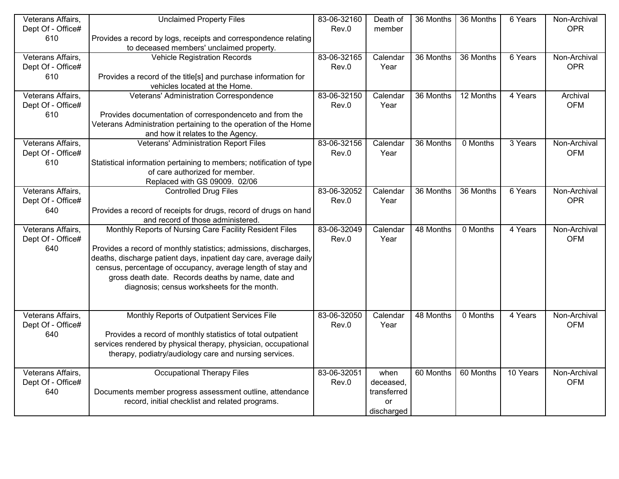| Veterans Affairs, | <b>Unclaimed Property Files</b>                                     | 83-06-32160 | Death of    | 36 Months | 36 Months | 6 Years  | Non-Archival |
|-------------------|---------------------------------------------------------------------|-------------|-------------|-----------|-----------|----------|--------------|
| Dept Of - Office# |                                                                     | Rev.0       | member      |           |           |          | <b>OPR</b>   |
| 610               | Provides a record by logs, receipts and correspondence relating     |             |             |           |           |          |              |
|                   | to deceased members' unclaimed property.                            |             |             |           |           |          |              |
| Veterans Affairs, | <b>Vehicle Registration Records</b>                                 | 83-06-32165 | Calendar    | 36 Months | 36 Months | 6 Years  | Non-Archival |
| Dept Of - Office# |                                                                     | Rev.0       | Year        |           |           |          | <b>OPR</b>   |
| 610               | Provides a record of the title[s] and purchase information for      |             |             |           |           |          |              |
|                   | vehicles located at the Home.                                       |             |             |           |           |          |              |
| Veterans Affairs, | Veterans' Administration Correspondence                             | 83-06-32150 | Calendar    | 36 Months | 12 Months | 4 Years  | Archival     |
| Dept Of - Office# |                                                                     | Rev.0       | Year        |           |           |          | <b>OFM</b>   |
| 610               | Provides documentation of correspondenceto and from the             |             |             |           |           |          |              |
|                   | Veterans Administration pertaining to the operation of the Home     |             |             |           |           |          |              |
|                   | and how it relates to the Agency.                                   |             |             |           |           |          |              |
| Veterans Affairs, | Veterans' Administration Report Files                               | 83-06-32156 | Calendar    | 36 Months | 0 Months  | 3 Years  | Non-Archival |
| Dept Of - Office# |                                                                     | Rev.0       | Year        |           |           |          | <b>OFM</b>   |
| 610               | Statistical information pertaining to members; notification of type |             |             |           |           |          |              |
|                   | of care authorized for member.                                      |             |             |           |           |          |              |
|                   | Replaced with GS 09009. 02/06                                       |             |             |           |           |          |              |
| Veterans Affairs, | <b>Controlled Drug Files</b>                                        | 83-06-32052 | Calendar    | 36 Months | 36 Months | 6 Years  | Non-Archival |
| Dept Of - Office# |                                                                     | Rev.0       | Year        |           |           |          | <b>OPR</b>   |
| 640               | Provides a record of receipts for drugs, record of drugs on hand    |             |             |           |           |          |              |
|                   | and record of those administered.                                   |             |             |           |           |          |              |
| Veterans Affairs, | Monthly Reports of Nursing Care Facility Resident Files             | 83-06-32049 | Calendar    | 48 Months | 0 Months  | 4 Years  | Non-Archival |
| Dept Of - Office# |                                                                     | Rev.0       | Year        |           |           |          | <b>OFM</b>   |
| 640               | Provides a record of monthly statistics; admissions, discharges,    |             |             |           |           |          |              |
|                   | deaths, discharge patient days, inpatient day care, average daily   |             |             |           |           |          |              |
|                   | census, percentage of occupancy, average length of stay and         |             |             |           |           |          |              |
|                   | gross death date. Records deaths by name, date and                  |             |             |           |           |          |              |
|                   | diagnosis; census worksheets for the month.                         |             |             |           |           |          |              |
|                   |                                                                     |             |             |           |           |          |              |
|                   |                                                                     |             |             |           |           |          |              |
| Veterans Affairs, | Monthly Reports of Outpatient Services File                         | 83-06-32050 | Calendar    | 48 Months | 0 Months  | 4 Years  | Non-Archival |
| Dept Of - Office# |                                                                     | Rev.0       | Year        |           |           |          | <b>OFM</b>   |
| 640               | Provides a record of monthly statistics of total outpatient         |             |             |           |           |          |              |
|                   | services rendered by physical therapy, physician, occupational      |             |             |           |           |          |              |
|                   | therapy, podiatry/audiology care and nursing services.              |             |             |           |           |          |              |
|                   |                                                                     |             |             |           |           |          |              |
| Veterans Affairs, | <b>Occupational Therapy Files</b>                                   | 83-06-32051 | when        | 60 Months | 60 Months | 10 Years | Non-Archival |
| Dept Of - Office# |                                                                     | Rev.0       | deceased,   |           |           |          | <b>OFM</b>   |
| 640               | Documents member progress assessment outline, attendance            |             | transferred |           |           |          |              |
|                   | record, initial checklist and related programs.                     |             | or          |           |           |          |              |
|                   |                                                                     |             | discharged  |           |           |          |              |